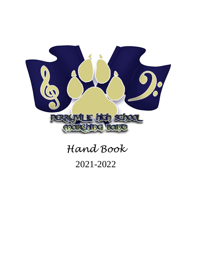

# *Hand Book* 2021-2022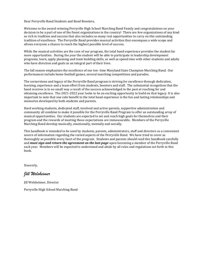Dear Perryville Band Students and Band Boosters,

Welcome to the award-winning Perryville High School Marching Band Family and congratulations on your decision to be a part of one of the finest organizations in the country! There are few organizations of any kind so rich in tradition and success that also includes so many real opportunities to carry on this outstanding tradition of excellence. The Perryville Band provides musical activities that encompass a wide scope and allows everyone a chance to reach the highest possible level of success.

While the musical activities are the core of our program, the total band experience provides the student far more opportunities. During the year the student will be able to participate in leadership development programs, learn, apply planning and team building skills, as well as spend time with other students and adults who have direction and goals as an integral part of their lives.

The fall season emphasizes the excellence of our ten- time Maryland State Champion Marching Band. Our performances include home football games, several marching competitions and parades.

The cornerstone and legacy of the Perryville Band program is striving for excellence through dedication, learning, experience and a team effort from students, boosters and staff. The substantial recognition that the band receives is in no small way a result of the success acknowledged in the past at reaching for and obtaining excellence. The 2021-2022 year looks to be an exciting opportunity to build on that legacy. It is also important to note that one side benefit to the total band experience is the fun and lasting relationships and memories developed by both students and parents.

Hard working students, dedicated staff, involved and active parents, supportive administration and community all combine to make it possible for the Perryville Band Program to offer an outstanding array of musical opportunities. Our students are expected to set and reach high goals for themselves and their program and the rewards of meeting those expectations are immeasurable. Members of the Perryville Marching Band develop musically, emotionally, mentally and socially.

This handbook is intended to be used by students, parents, administrators, staff and directors as a convenient source of information regarding the varied aspects of the Perryville Band. We have tried to cover as thoroughly as possible every facet of the program. Students and parents should read this handbook carefully and *must sign and return the agreement on the last page* upon becoming a member of the Perryville Band each year. Members will be expected to understand and abide by all rules and regulations set forth in this book.

Sincerely,

# *Jill Welsheimer*

Jill Welsheimer, Director

Perryville High School Marching Band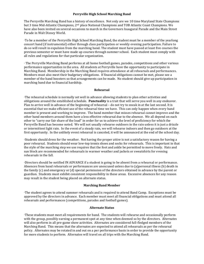#### **Perryville High School Marching Band**

The Perryville Marching Band has a history of excellence. Not only are we 10 time Maryland State Champions but 3 time Mid-Atlantic Champions, 2<sup>nd</sup> place National Champions and TOB Atlantic Coast Champions. We have also been invited on several occasions to march in the Governors Inaugural Parade and the Main Street Parade in Walt Disney World.

∙To be a member of the Perryville High School Marching Band, the student must be a member of the yearlong concert band (if instrumental) either through class participation or weekly evening participation. Failure to do so will result in expulsion from the marching band. The student must have passed at least five courses the previous semester or must have made up courses through summer school. Each student must comply with all rules and regulations for that particular organization.

∙ The Perryville Marching Band performs at all home football games, parades, competitions and other various performance opportunities in the area. All students at Perryville have the opportunity to participate in Marching Band. Membership in the Marching Band requires attendance at all rehearsals and performances. Members must also meet their budgetary obligations. If financial obligations cannot be met, please see a member of the band boosters so that arrangements can be made. No student should give up participation in marching band due to financial hardship.

#### **Rehearsal**

∙The rehearsal schedule is normally set well in advance allowing students to plan other activities and obligations around the established schedule. **Punctuality** is a trait that will serve you well in any endeavor. Plan to arrive well in advance of the beginning of rehearsal – do not try to sneak in at the last second. It is essential that we make efficient use of the rehearsal time we have. This can only happen when every band member is present and working to improve. The band member that misses rehearsal cannot improve and the other band members around them have a less effective rehearsal due to the absence. We all depend on each other to "carry our fair share of the load" in order for us to achieve the level of proficiency for which the Perryville Band has become noted. We will not usually rehearse outdoors in the rain unless it is just a drizzle or intermittent light rain. In the event of a steady rain, we will rehearse indoors and then go outdoors at the first opportunity. In the unlikely event rehearsal is canceled, it will be announced at the end of the school day.

∙Students should dress for the weather. Not having the proper attire is not a satisfactory reason for having a poor rehearsal. Students should wear low-top tennis shoes and socks for rehearsals. This is important in that the style of the marching step we use requires that the foot and ankle be permitted to move freely. Hats and sun block are recommended for rehearsals in warmer weather and jackets or sweatshirts for evening rehearsals in the fall.

∙Directors should be notified IN ADVANCE if a student is going to be absent from a rehearsal or performance. Absences from band rehearsals or performances are unexcused unless due to (a)personal illness (b) death in the family (c) and emergency or (d) special permission of the directors obtained in advance by the parent or guardian. Students must exhibit consistent responsibility in these areas. Excessive absences for any reason may result in the student being placed on alternate status.

#### **Marching Band Member**

∙The student agrees to attend summer rehearsals and is required to attend Band Camp. Exceptions must be approved by the directors in advance. Each member must meet all financial obligations and must attend all rehearsals and performances (competitions, parades and football games).

#### **Alternate Status**

∙These students must meet all requirements for band. The students will rehearse and occasionally perform with the group, possibly earning a permanent spot at any time when deemed so by the directors. Alternates will also perform in all pre-game show activities. Alternates are considered full-fledged members of the Marching Band. This means that the alternates are expected to attend all rehearsals as per the rehearsal policy. Alternates may be rotated in and out on a per performance basis in order to provide the opportunity for more students to perform. Alternates will travel on all trips with the Marching Band.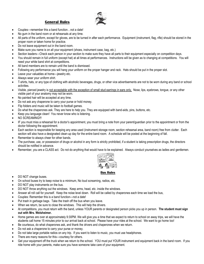# **General Rules**



- Couples---remember this a band function...not a date!
- No gum in the band room or at rehearsals at any time.
- All parts of the uniform, except for gloves, are to be turned in after each performance. Equipment (instrument, flag, rifle) should be stored in the proper room or taken home for practice.
- Do not leave equipment out in the band room.
- Make sure you name is on all your equipment (shoes, instrument case, bag, etc.)
- Section leaders—Check each person in your section to make sure they have all parts to their equipment especially on competition days.
- You should remain in full uniform (except hat) at all times at performances. Instructions will be given as to changing at competitions. You will need your white band shirt at competitions.
- All band members are to remain until the band is dismissed.
- Following any performance you will hang your uniform on the proper hanger and rack. Hats should be put in the proper slot.
- Leave your valuables at home---jewelry etc.
- Always wear your uniform shirt.
- T-shirts, hats, or any type of clothing with alcoholic beverages, drugs, or other vice advertisements are not to be worn during any band or school activities.
- Visible, pierced jewelry is not acceptable with the exception of small stud earrings in ears only. Nose, lips, eyebrows, tongue, or any other visible part of your anatomy may not be worn.
- No painted hair will be accepted at any time.
- Do not ask any chaperone to carry your purse or hold money.
- Flip folders and music will be taken to football games.
- Do what the chaperones ask. They are here to help you. They are equipped with band-aids, pins, buttons, etc.
- Keep you language clean! You never know who is listening.
- NO SCREAMING!!!
- IF you must miss a rehearsal for a doctor's appointment, you must bring a note from your parent/guardian prior to the appointment or from the doctor following the appointment.
- Each section is responsible for keeping any area used (instrument storage room, section rehearsal area, band room) free from clutter. Each section will also have a designated clean-up day for the entire band room. A schedule will be posted at the beginning of fall.
- Remember to always cheer for other bands.
- The purchase, use, or possession of drugs or alcohol in any form is strictly prohibited, if a student is taking prescription drugs, the directors should be notified in advance.
- Remember, you are a CLASS act. Do not do anything that would have to be explained. Always conduct yourselves as ladies and gentlemen.



## **Bus Rules**

- DO NOT change buses.
- On school buses try to keep noise to a minimum, No loud screaming, radios, etc.
- DO NOT play instruments on the bus.
- DO NOT throw anything out the windows. Keep arms, head, etc. inside the windows.
- Answer all roll call for yourself. Keep the noise level down. Roll will be called by chaperones each time we load the bus,
- Couples: Remember this is a band function---not a date!
- Put trash in garbage bags. Take the trash off the bus when you leave.
- When we return, be sure to close the windows. This will help the drivers.
- At competitions, you must return with the band, unless YOUR parents or designated person picks you up in person. **The student must sign out with Mrs. Welsheimer.**
- Home games are over at approximately 9:30PM. We will give you a time that we expect to return to school on away trips, we will have the students call home 15 minutes prior to our arrival back at school. Please have your rides at the school. We want to go home too!
- Be courteous, do what chaperones ask, and thank the drivers and chaperones when we return.
- Do not ask a chaperone to carry your purse or money.
- Do not take large portable radios on any trip. If you want to listen to music, you must use headphones.
- There are many reasons for this---courtesy for others.
- Get your equipment off the truck when we return to the school. YOU must put YOUR instrument and equipment back in the band room. If you ride home with your parents, make sure you have someone take care of your equipment.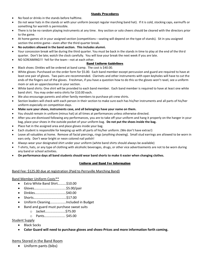# **Stands Procedures**

- No food or drinks in the stands before halftime.
- Do not wear hats in the stands or with your uniform (except regular marching band hat). If it is cold, stocking caps, earmuffs or something for warmth is permissible.
- There is to be no random playing instruments at any time. Any section or solo cheers should be cleared with the directors prior to the game.
- At home games sit in your assigned section (competitions---seating will depend on the type of stands). Sit in you assigned section the entire game---even after the third quarter break.
- **No outsiders allowed in the band section. This includes alumni.**
- Your concession break will be during the third quarter. You must be back in the stands in time to play at the end of the third quarter. Don't be late; watch the clock carefully. You will lose your break the next week if you are late.
- NO SCREAMING!!! Yell for the team---not at each other.

# **Band Uniform Guidelines**

- Black shoes: Dinkles will be ordered at band camp. The cost is \$40.00.
- White gloves: Purchased on the order form for \$5.00. Each band member except percussion and guard are required to have at least one pair of gloves. Two pairs are recommended. Clarinets and other instruments with open keyholes will have to cut the ends of the fingers out of the gloves. Freshman, if you have a question how to do this so the gloves won't ravel, see a uniform mom or ask an upperclassman in your section.
- White band shirts: One shirt will be provided to each band member. Each band member is required to have at least one white band shirt. You may order extra shirts for \$10.00 each.
- We also encourage parents and other family members to purchase pit crew shirts.
- Section leaders will check with each person in their section to make sure each has his/her instruments and all parts of his/her uniform especially on competition days.
- **Make sure your shoes, instruments case, and all belongings have your name on them.**
- You should remain in uniform (minus hat) at all times at performances unless otherwise directed.
- After you are dismissed following any performances, you are to take off your uniform and hang it properly on the hanger in your bag, place your shoes in the outside pocket of your uniform bag. **Do not put the shoes inside the bag.**
- Place hat in the assigned area and place gloves inside your bag.
- Each student is responsible for keeping up with all parts of his/her uniform. (We don't have extras!)
- Leave all valuables at home. Remove all facial piercings, rings (anything showing). Small stud earrings are allowed to be worn in ears only. Don't wear bright or neon colored nail polish!
- Always wear your designated shirt under your uniform (white band shirts should always be available)
- T-shirts, hats, or any type of clothing with alcoholic beverages, drugs, or other vice advertisements are not to be worn during any band or school activities.
- **On performance days all band students should wear band shorts to make it easier when changing clothes.**

# **Uniform and Band Fee Information**

## Band Fee: \$125.00 due at registration (Paid to Perryville Marching Band)

## Band Member Uniform Costs\*\*

- Extra White Band Shirt……….\$10.00
- Gloves………………………………..\$5.00/pair
- Dinkles……………………………….\$40.00
- Shorts…………………………………\$17.00
- Uniform Cleaning……………….Included in Budget
- Band and guard must purchase sweat suits
	- o Jacket……………………\$75.00
	- o Pants……………………. \$45.00
- Student Supply
	- Black Socks
	- **Color Guard will need to purchase gloves and shoes-Prices and more information forth coming.**

# Items Stored in the Band Room

• Uniform pants (bibs)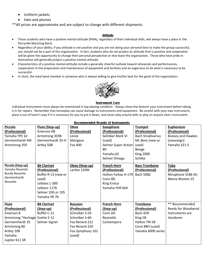- Uniform jackets
- Hats and plumes

\*\*All prices are approximate and are subject to change with different shipments.

# **Attitude**

- Those students who have a positive mental attitude (PMA), regardless of their individual skills, will always have a place in the Perryville Marching Band.
- Regardless of your ability, if you attitude is not positive and you are not doing your personal best to make the group successful, you should not be a part of this organization. In fact, students who do not project an attitude that is positive and cooperative will be given the opportunity to change their personal perspective or else leave the organization. Those who have pride in themselves will generally project a positive mental attitude.
- Characteristics of a positive mental attitude include a generally cheerful outlook toward rehearsals and performances, cooperation in the preparation and maintenance of equipment and facilities and an eagerness to do what is necessary to be successful.
- In short, the total band member is someone who is always willing to give his/her best for the good of the organization.



#### **Instrument Care**

Individual instruments must always be maintained in top playing condition. Always show the director your instrument before taking it in for repairs. Remember that horseplay can cause damage to instruments and equipment. Be careful with your own instrument, place it out of harm's way if it is necessary for you to put it down, and never play around with or play on anyone else's instrument.

| <b>Piccolo</b><br>(Professional)<br>Yamaha YPC 62<br>Germeinhardt 4W<br>Armstrong 359                                                           | Flute (Step-up)<br>Emerson 6B<br>Armstrong 303B<br>Germeinhardt 35-H<br>Artley 50B                                                         | Oboe<br>(Professional)<br>Loree<br>Marigaux<br>Fox 400                                                                                 | <b>Saxophone</b><br>(Professional)<br>Selmber Mark VI<br>(used)<br><b>Selmer Super Action</b><br>80<br>Yamaha 62<br>Selmer Omega | <b>Trumpet</b><br>(Professional)<br><b>Bach Stradivarius</b><br>ML Bore (new or<br>used)<br>Benge<br><b>King 2000</b><br>Schilke | <b>Euphonium</b><br>(Professional)<br>Boosey and Hawkes<br>(sovereign)<br>Yamaha 321-S |
|-------------------------------------------------------------------------------------------------------------------------------------------------|--------------------------------------------------------------------------------------------------------------------------------------------|----------------------------------------------------------------------------------------------------------------------------------------|----------------------------------------------------------------------------------------------------------------------------------|----------------------------------------------------------------------------------------------------------------------------------|----------------------------------------------------------------------------------------|
| Piccolo (Step-up)<br>Yamaha Resonite<br><b>Bundy Resonite</b><br>Germeinhardt<br>Resonite                                                       | <b>Bb Clarinet</b><br>(Professional)<br>Buffet R-13 (new or<br>used)<br>Leblanc L-300<br>Leblanc 1176<br>Selmer 10G or 10S<br>Yamaha YR-70 | Oboe (Step-up)<br>Larilee 150W                                                                                                         | <b>French Horn</b><br>(Professional)<br>Holton Farkas H-179<br>Conn 8D<br><b>King Eroica</b><br>Yamaha YHR 664                   | <b>Bass Trombone</b><br>(Professional)<br>Bach 50B2                                                                              | <b>Tuba</b><br>(Professional)<br>Miraphone S186 4U<br><b>Meina Weston 25</b>           |
| <b>Flute</b><br>(Professional)<br>Emerson 8<br>Armstrong "Heritage<br>Germeinhardt 35<br>Armstrong 80<br>Artley 108<br>Yamaha<br>Jupiter 611 SR | <b>Bb Clarinet</b><br>(Step-up)<br>Buffet C-12<br>Evette E-12<br>Selmer Signet                                                             | <b>Bassoon</b><br>(Professional)<br>Schreiber S-54<br>Schreiber S-60<br>Fox Renard 222<br>Fox Renard 220<br>Fox Symphony 101<br>(used) | <b>French Horn</b><br>(Step-up)<br>Conn 6D<br>Reynolds<br>Contempora                                                             | <b>Trombone</b><br>(Professional)<br>Bach 42B<br>King 5B<br>Holton TRI 58<br>Conn 88H (used)<br>Yamaha 6000 series               | ** Recommended<br><b>Reeds for Woodwind</b><br>Instruments are<br>Vandoren             |

#### **Recommended Brands of Instruments**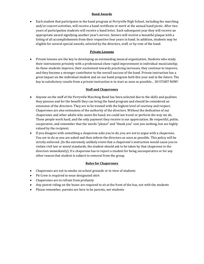# **Band Awards**

• Each student that participates in the band program at Perryville High School, including the marching and/or concert activities, will receive a band certificate or merit at the annual band picnic. After two years of participation students will receive a band letter. Each subsequent year they will receive an appropriate award signifying another year's service. Seniors will receive a beautiful plaque with a listing of all accomplishments from their respective four years in band. In addition, students may be eligible for several special awards, selected by the directors, staff, or by vote of the band.

# **Private Lessons**

• Private lessons are the key to developing an outstanding musical organization. Students who study their instruments privately with a professional show rapid improvement in individual musicianship. As these students improve, their excitement towards practicing increases, they continue to improve, and they become a stronger contributor to the overall success of the band. Private instruction has a great impact on the individual student and on our band program both this year and in the future. The key to satisfactory results from a private instruction is to start as soon as possible… SO START NOW!

# **Staff and Chaperones**

- Anyone on the staff of the Perryville Marching Band has been selected due to the skills and qualities they possess and for the benefit they can bring the band program and should be considered an extension of the directors. They are to be treated with the highest level of courtesy and respect. Chaperones are also extensions of the authority of the directors. Without the dedication of our chaperones and other adults who assist the band, we could not travel or perform the way we do. These people work hard, and the only payment they receive is our appreciation. Be respectful, polite, cooperative, and remember that the words "please" and "thank you" cost you nothing, but are highly valued by the recipient.
- If you disagree with something a chaperone asks you to do, you are not to argue with a chaperone. You are to do as you are asked and then inform the directors as soon as possible. This policy will be strictly enforced. (In the extremely unlikely event that a chaperone's instruction would cause you to violate civil law or moral standards, the student should ask to be taken by that chaperone to the directors immediately). If a chaperone has to report a student for being uncooperative or for any other reason that student is subject to removal from the group.

# **Rules for Chaperones**

- Chaperones are not to smoke on school grounds or in view of students
- Pit Crew is required to wear designated shirt
- Chaperones are to refrain from profanity
- Any parent riding on the buses are required to sit at the front of the bus, not with the students
- Please remember, parents are here to be parents, not students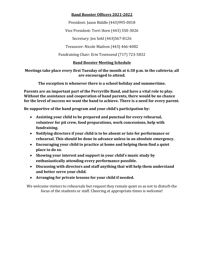# **Band Booster Officers 2021-2022**

President: Jason Biddle (443)995-0018

Vice President: Terri Horn (443) 350-3026

Secretary: Jen Sohl (443)567-8126

Treasurer: Nicole Madron (443) 466-4082

Fundraising Chair: Erin Townsend (717) 723-5832

# **Band Booster Meeting Schedule**

**Meetings take place every first Tuesday of the month at 6:30 p.m. in the cafeteria; all are encouraged to attend.**

**The exception is whenever there is a school holiday and summertime.**

**Parents are an important part of the Perryville Band, and have a vital role to play. Without the assistance and cooperation of band parents, there would be no chance for the level of success we want the band to achieve. There is a need for every parent.**

**Be supportive of the band program and your child's participation by:**

- **Assisting your child to be prepared and punctual for every rehearsal, volunteer for pit crew, food preparations, work concessions, help with fundraising.**
- **Notifying directors if your child is to be absent or late for performance or rehearsal. This should be done in advance unless in an absolute emergency.**
- **Encouraging your child to practice at home and helping them find a quiet place to do so.**
- **Showing your interest and support in your child's music study by enthusiastically attending every performance possible.**
- **Discussing with directors and staff anything that will help them understand and better serve your child.**
- **Arranging for private lessons for your child if needed.**

We welcome visitors to rehearsals but request they remain quiet so as not to disturb the focus of the students or staff. Cheering at appropriate times is welcome!